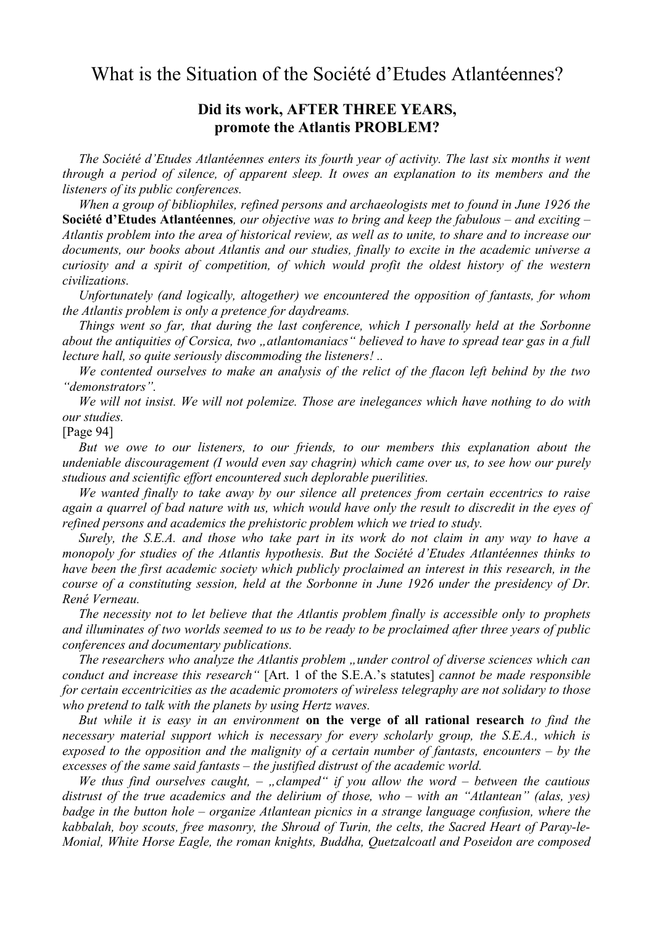## What is the Situation of the Société d'Etudes Atlantéennes?

## **Did its work, AFTER THREE YEARS, promote the Atlantis PROBLEM?**

*The Société d'Etudes Atlantéennes enters its fourth year of activity. The last six months it went through a period of silence, of apparent sleep. It owes an explanation to its members and the listeners of its public conferences.*

*When a group of bibliophiles, refined persons and archaeologists met to found in June 1926 the* **Société d'Etudes Atlantéennes***, our objective was to bring and keep the fabulous – and exciting –* Atlantis problem into the area of historical review, as well as to unite, to share and to increase our *documents, our books about Atlantis and our studies, finally to excite in the academic universe a curiosity and a spirit of competition, of which would profit the oldest history of the western civilizations.*

*Unfortunately (and logically, altogether) we encountered the opposition of fantasts, for whom the Atlantis problem is only a pretence for daydreams.*

*Things went so far, that during the last conference, which I personally held at the Sorbonne about the antiquities of Corsica, two "atlantomaniacs" believed to have to spread tear gas in a full lecture hall, so quite seriously discommoding the listeners! ..*

*We contented ourselves to make an analysis of the relict of the flacon left behind by the two "demonstrators".*

*We will not insist. We will not polemize. Those are inelegances which have nothing to do with our studies.*

[Page 94]

*But we owe to our listeners, to our friends, to our members this explanation about the undeniable discouragement (I would even say chagrin) which came over us, to see how our purely studious and scientific effort encountered such deplorable puerilities.*

*We wanted finally to take away by our silence all pretences from certain eccentrics to raise* again a quarrel of bad nature with us, which would have only the result to discredit in the eyes of *refined persons and academics the prehistoric problem which we tried to study.*

Surely, the S.E.A. and those who take part in its work do not claim in any way to have a *monopoly for studies of the Atlantis hypothesis. But the Société d'Etudes Atlantéennes thinks to have been the first academic society which publicly proclaimed an interest in this research, in the course of a constituting session, held at the Sorbonne in June 1926 under the presidency of Dr. René Verneau.*

*The necessity not to let believe that the Atlantis problem finally is accessible only to prophets* and illuminates of two worlds seemed to us to be ready to be proclaimed after three years of public *conferences and documentary publications.*

*The researchers who analyze the Atlantis problem "under control of diverse sciences which can conduct and increase this research"* [Art. 1 of the S.E.A.'s statutes] *cannot be made responsible for certain eccentricities as the academic promoters of wireless telegraphy are not solidary to those who pretend to talk with the planets by using Hertz waves.*

*But while it is easy in an environment* **on the verge of all rational research** *to find the necessary material support which is necessary for every scholarly group, the S.E.A., which is exposed to the opposition and the malignity of a certain number of fantasts, encounters – by the excesses of the same said fantasts – the justified distrust of the academic world.*

*We thus find ourselves caught, – "clamped" if you allow the word – between the cautious distrust of the true academics and the delirium of those, who – with an "Atlantean" (alas, yes) badge in the button hole – organize Atlantean picnics in a strange language confusion, where the kabbalah, boy scouts, free masonry, the Shroud of Turin, the celts, the Sacred Heart of Paray-le-Monial, White Horse Eagle, the roman knights, Buddha, Quetzalcoatl and Poseidon are composed*